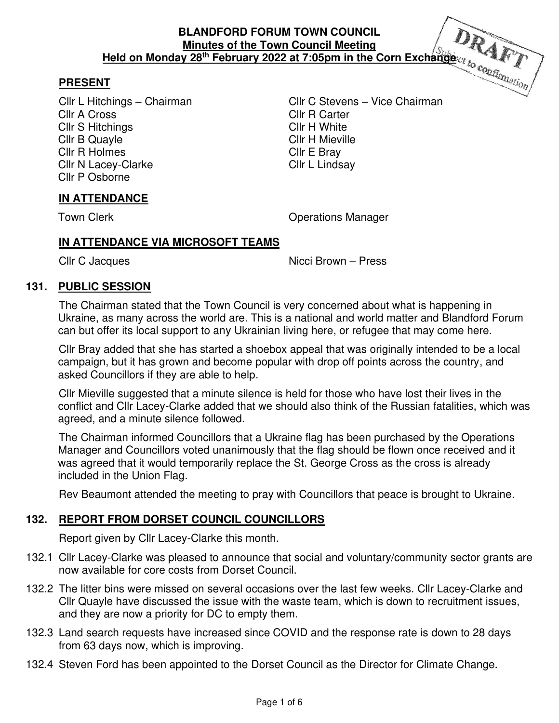## **PRESENT**

Cllr A Cross Cllr R Carter Cllr S Hitchings Cllr H White Cllr B Quayle Cllr H Mieville Cllr R Holmes Cllr E Bray Cllr N Lacey-Clarke Cllr L Lindsay Cllr P Osborne

Cllr L Hitchings – Chairman Cllr C Stevens – Vice Chairman

## **IN ATTENDANCE**

Town Clerk **Contract Contract Contract Contract Contract Contract Contract Contract Contract Contract Contract Contract Contract Contract Contract Contract Contract Contract Contract Contract Contract Contract Contract Con** 

## **IN ATTENDANCE VIA MICROSOFT TEAMS**

Cllr C Jacques Nicci Brown – Press

### **131. PUBLIC SESSION**

The Chairman stated that the Town Council is very concerned about what is happening in Ukraine, as many across the world are. This is a national and world matter and Blandford Forum can but offer its local support to any Ukrainian living here, or refugee that may come here.

Cllr Bray added that she has started a shoebox appeal that was originally intended to be a local campaign, but it has grown and become popular with drop off points across the country, and asked Councillors if they are able to help.

Cllr Mieville suggested that a minute silence is held for those who have lost their lives in the conflict and Cllr Lacey-Clarke added that we should also think of the Russian fatalities, which was agreed, and a minute silence followed.

The Chairman informed Councillors that a Ukraine flag has been purchased by the Operations Manager and Councillors voted unanimously that the flag should be flown once received and it was agreed that it would temporarily replace the St. George Cross as the cross is already included in the Union Flag.

Rev Beaumont attended the meeting to pray with Councillors that peace is brought to Ukraine.

## **132. REPORT FROM DORSET COUNCIL COUNCILLORS**

Report given by Cllr Lacey-Clarke this month.

- 132.1 Cllr Lacey-Clarke was pleased to announce that social and voluntary/community sector grants are now available for core costs from Dorset Council.
- 132.2 The litter bins were missed on several occasions over the last few weeks. Cllr Lacey-Clarke and Cllr Quayle have discussed the issue with the waste team, which is down to recruitment issues, and they are now a priority for DC to empty them.
- 132.3 Land search requests have increased since COVID and the response rate is down to 28 days from 63 days now, which is improving.
- 132.4 Steven Ford has been appointed to the Dorset Council as the Director for Climate Change.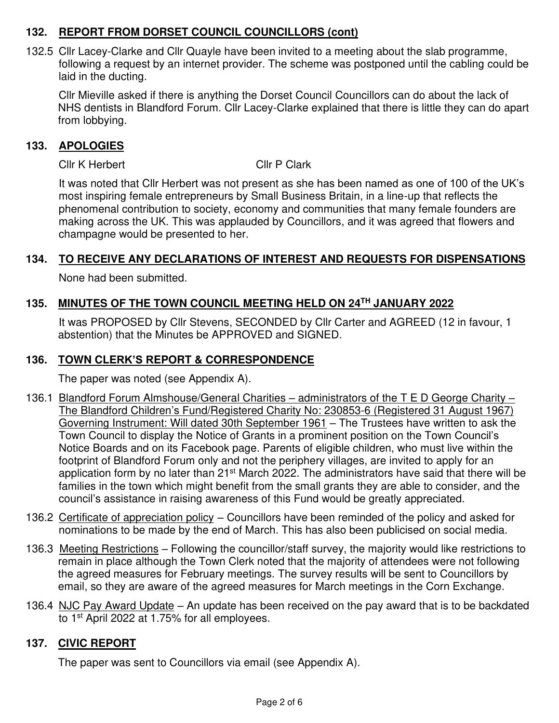## **132. REPORT FROM DORSET COUNCIL COUNCILLORS (cont)**

132.5 Cllr Lacey-Clarke and Cllr Quayle have been invited to a meeting about the slab programme, following a request by an internet provider. The scheme was postponed until the cabling could be laid in the ducting.

 Cllr Mieville asked if there is anything the Dorset Council Councillors can do about the lack of NHS dentists in Blandford Forum. Cllr Lacey-Clarke explained that there is little they can do apart from lobbying.

## **133. APOLOGIES**

Cllr K Herbert Cllr P Clark

 It was noted that Cllr Herbert was not present as she has been named as one of 100 of the UK's most inspiring female entrepreneurs by Small Business Britain, in a line-up that reflects the phenomenal contribution to society, economy and communities that many female founders are making across the UK. This was applauded by Councillors, and it was agreed that flowers and champagne would be presented to her.

## **134. TO RECEIVE ANY DECLARATIONS OF INTEREST AND REQUESTS FOR DISPENSATIONS**

None had been submitted.

# **135. MINUTES OF THE TOWN COUNCIL MEETING HELD ON 24TH JANUARY 2022**

 It was PROPOSED by Cllr Stevens, SECONDED by Cllr Carter and AGREED (12 in favour, 1 abstention) that the Minutes be APPROVED and SIGNED.

## **136. TOWN CLERK'S REPORT & CORRESPONDENCE**

The paper was noted (see Appendix A).

- 136.1 Blandford Forum Almshouse/General Charities administrators of the T E D George Charity -The Blandford Children's Fund/Registered Charity No: 230853-6 (Registered 31 August 1967) Governing Instrument: Will dated 30th September 1961 – The Trustees have written to ask the Town Council to display the Notice of Grants in a prominent position on the Town Council's Notice Boards and on its Facebook page. Parents of eligible children, who must live within the footprint of Blandford Forum only and not the periphery villages, are invited to apply for an application form by no later than 21<sup>st</sup> March 2022. The administrators have said that there will be families in the town which might benefit from the small grants they are able to consider, and the council's assistance in raising awareness of this Fund would be greatly appreciated.
- 136.2 Certificate of appreciation policy Councillors have been reminded of the policy and asked for nominations to be made by the end of March. This has also been publicised on social media.
- 136.3 Meeting Restrictions Following the councillor/staff survey, the majority would like restrictions to remain in place although the Town Clerk noted that the majority of attendees were not following the agreed measures for February meetings. The survey results will be sent to Councillors by email, so they are aware of the agreed measures for March meetings in the Corn Exchange.
- 136.4 NJC Pay Award Update An update has been received on the pay award that is to be backdated to 1st April 2022 at 1.75% for all employees.

## **137. CIVIC REPORT**

The paper was sent to Councillors via email (see Appendix A).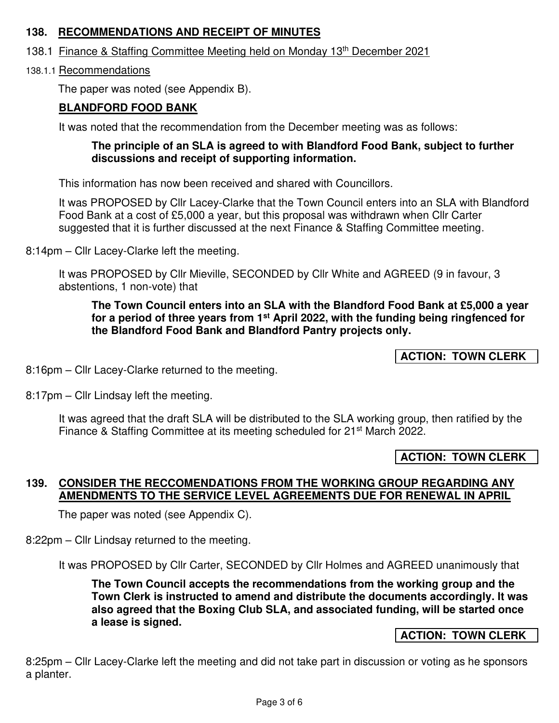## **138. RECOMMENDATIONS AND RECEIPT OF MINUTES**

- 138.1 Finance & Staffing Committee Meeting held on Monday 13th December 2021
- 138.1.1 Recommendations

The paper was noted (see Appendix B).

## **BLANDFORD FOOD BANK**

It was noted that the recommendation from the December meeting was as follows:

### **The principle of an SLA is agreed to with Blandford Food Bank, subject to further discussions and receipt of supporting information.**

This information has now been received and shared with Councillors.

It was PROPOSED by Cllr Lacey-Clarke that the Town Council enters into an SLA with Blandford Food Bank at a cost of £5,000 a year, but this proposal was withdrawn when Cllr Carter suggested that it is further discussed at the next Finance & Staffing Committee meeting.

8:14pm – Cllr Lacey-Clarke left the meeting.

It was PROPOSED by Cllr Mieville, SECONDED by Cllr White and AGREED (9 in favour, 3 abstentions, 1 non-vote) that

### **The Town Council enters into an SLA with the Blandford Food Bank at £5,000 a year for a period of three years from 1st April 2022, with the funding being ringfenced for the Blandford Food Bank and Blandford Pantry projects only.**

**ACTION: TOWN CLERK**

8:16pm – Cllr Lacey-Clarke returned to the meeting.

8:17pm – Cllr Lindsay left the meeting.

It was agreed that the draft SLA will be distributed to the SLA working group, then ratified by the Finance & Staffing Committee at its meeting scheduled for 21<sup>st</sup> March 2022.

**ACTION: TOWN CLERK**

## **139. CONSIDER THE RECCOMENDATIONS FROM THE WORKING GROUP REGARDING ANY AMENDMENTS TO THE SERVICE LEVEL AGREEMENTS DUE FOR RENEWAL IN APRIL**

The paper was noted (see Appendix C).

8:22pm – Cllr Lindsay returned to the meeting.

It was PROPOSED by Cllr Carter, SECONDED by Cllr Holmes and AGREED unanimously that

**The Town Council accepts the recommendations from the working group and the Town Clerk is instructed to amend and distribute the documents accordingly. It was also agreed that the Boxing Club SLA, and associated funding, will be started once a lease is signed.** 

#### **ACTION: TOWN CLERK**

8:25pm – Cllr Lacey-Clarke left the meeting and did not take part in discussion or voting as he sponsors a planter.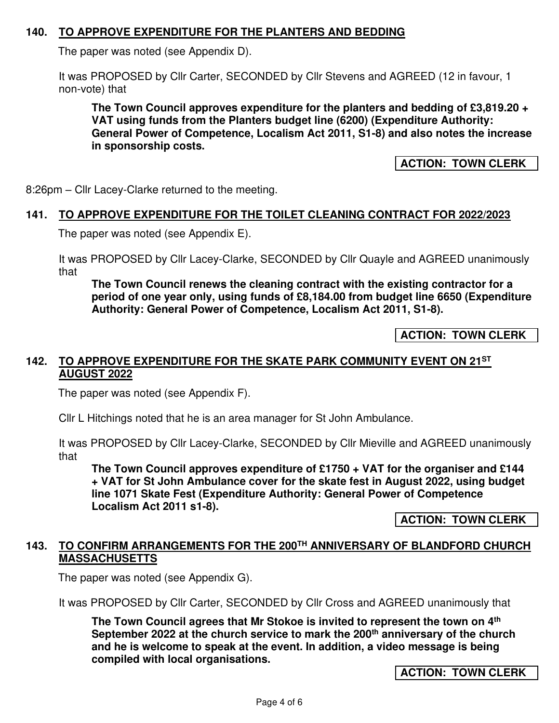## **140. TO APPROVE EXPENDITURE FOR THE PLANTERS AND BEDDING**

The paper was noted (see Appendix D).

It was PROPOSED by Cllr Carter, SECONDED by Cllr Stevens and AGREED (12 in favour, 1 non-vote) that

**The Town Council approves expenditure for the planters and bedding of £3,819.20 + VAT using funds from the Planters budget line (6200) (Expenditure Authority: General Power of Competence, Localism Act 2011, S1-8) and also notes the increase in sponsorship costs.** 

**ACTION: TOWN CLERK**

8:26pm – Cllr Lacey-Clarke returned to the meeting.

#### **141. TO APPROVE EXPENDITURE FOR THE TOILET CLEANING CONTRACT FOR 2022/2023**

The paper was noted (see Appendix E).

It was PROPOSED by Cllr Lacey-Clarke, SECONDED by Cllr Quayle and AGREED unanimously that

**The Town Council renews the cleaning contract with the existing contractor for a period of one year only, using funds of £8,184.00 from budget line 6650 (Expenditure Authority: General Power of Competence, Localism Act 2011, S1-8).** 

**ACTION: TOWN CLERK**

#### **142. TO APPROVE EXPENDITURE FOR THE SKATE PARK COMMUNITY EVENT ON 21ST AUGUST 2022**

The paper was noted (see Appendix F).

Cllr L Hitchings noted that he is an area manager for St John Ambulance.

It was PROPOSED by Cllr Lacey-Clarke, SECONDED by Cllr Mieville and AGREED unanimously that

**The Town Council approves expenditure of £1750 + VAT for the organiser and £144 + VAT for St John Ambulance cover for the skate fest in August 2022, using budget line 1071 Skate Fest (Expenditure Authority: General Power of Competence Localism Act 2011 s1-8).** 

**ACTION: TOWN CLERK**

### **143. TO CONFIRM ARRANGEMENTS FOR THE 200TH ANNIVERSARY OF BLANDFORD CHURCH MASSACHUSETTS**

The paper was noted (see Appendix G).

It was PROPOSED by Cllr Carter, SECONDED by Cllr Cross and AGREED unanimously that

**The Town Council agrees that Mr Stokoe is invited to represent the town on 4th September 2022 at the church service to mark the 200th anniversary of the church and he is welcome to speak at the event. In addition, a video message is being compiled with local organisations.** 

**ACTION: TOWN CLERK**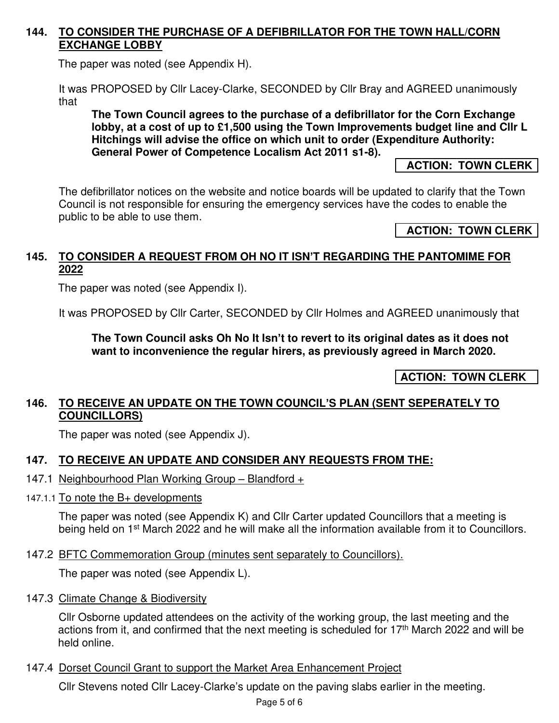## **144. TO CONSIDER THE PURCHASE OF A DEFIBRILLATOR FOR THE TOWN HALL/CORN EXCHANGE LOBBY**

The paper was noted (see Appendix H).

It was PROPOSED by Cllr Lacey-Clarke, SECONDED by Cllr Bray and AGREED unanimously that

**The Town Council agrees to the purchase of a defibrillator for the Corn Exchange lobby, at a cost of up to £1,500 using the Town Improvements budget line and Cllr L Hitchings will advise the office on which unit to order (Expenditure Authority: General Power of Competence Localism Act 2011 s1-8).** 

 **ACTION: TOWN CLERK**

The defibrillator notices on the website and notice boards will be updated to clarify that the Town Council is not responsible for ensuring the emergency services have the codes to enable the public to be able to use them.

### **ACTION: TOWN CLERK**

## **145. TO CONSIDER A REQUEST FROM OH NO IT ISN'T REGARDING THE PANTOMIME FOR 2022**

The paper was noted (see Appendix I).

It was PROPOSED by Cllr Carter, SECONDED by Cllr Holmes and AGREED unanimously that

**The Town Council asks Oh No It Isn't to revert to its original dates as it does not want to inconvenience the regular hirers, as previously agreed in March 2020.** 

**ACTION: TOWN CLERK**

### **146. TO RECEIVE AN UPDATE ON THE TOWN COUNCIL'S PLAN (SENT SEPERATELY TO COUNCILLORS)**

The paper was noted (see Appendix J).

## **147. TO RECEIVE AN UPDATE AND CONSIDER ANY REQUESTS FROM THE:**

- 147.1 Neighbourhood Plan Working Group Blandford +
- 147.1.1 To note the B+ developments

The paper was noted (see Appendix K) and Cllr Carter updated Councillors that a meeting is being held on 1<sup>st</sup> March 2022 and he will make all the information available from it to Councillors.

147.2 BFTC Commemoration Group (minutes sent separately to Councillors).

The paper was noted (see Appendix L).

147.3 Climate Change & Biodiversity

Cllr Osborne updated attendees on the activity of the working group, the last meeting and the actions from it, and confirmed that the next meeting is scheduled for 17<sup>th</sup> March 2022 and will be held online.

147.4 Dorset Council Grant to support the Market Area Enhancement Project

Cllr Stevens noted Cllr Lacey-Clarke's update on the paving slabs earlier in the meeting.